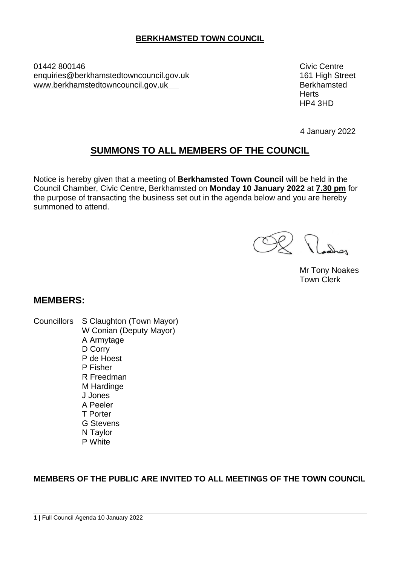## **BERKHAMSTED TOWN COUNCIL**

01442 800146 Civic Centre enquiries@berkhamstedtowncouncil.gov.uk 161 High Street www.berkhamstedtowncouncil.gov.uk example and the series of Berkhamsted

**Herts** HP4 3HD

4 January 2022

# **SUMMONS TO ALL MEMBERS OF THE COUNCIL**

Notice is hereby given that a meeting of **Berkhamsted Town Council** will be held in the Council Chamber, Civic Centre, Berkhamsted on **Monday 10 January 2022** at **7.30 pm** for the purpose of transacting the business set out in the agenda below and you are hereby summoned to attend.

Mr Tony Noakes Town Clerk

#### **MEMBERS:**

Councillors S Claughton (Town Mayor) W Conian (Deputy Mayor) A Armytage D Corry P de Hoest P Fisher R Freedman M Hardinge J Jones A Peeler T Porter G Stevens N Taylor P White

#### **MEMBERS OF THE PUBLIC ARE INVITED TO ALL MEETINGS OF THE TOWN COUNCIL**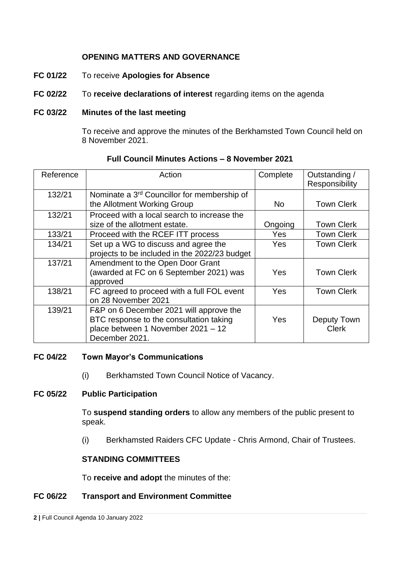## **OPENING MATTERS AND GOVERNANCE**

- **FC 01/22** To receive **Apologies for Absence**
- **FC 02/22** To **receive declarations of interest** regarding items on the agenda

### **FC 03/22 Minutes of the last meeting**

To receive and approve the minutes of the Berkhamsted Town Council held on 8 November 2021.

| Reference | Action                                                                                                                                     | Complete | Outstanding /<br>Responsibility |
|-----------|--------------------------------------------------------------------------------------------------------------------------------------------|----------|---------------------------------|
| 132/21    | Nominate a 3 <sup>rd</sup> Councillor for membership of<br>the Allotment Working Group                                                     | No.      | <b>Town Clerk</b>               |
| 132/21    | Proceed with a local search to increase the<br>size of the allotment estate.                                                               | Ongoing  | <b>Town Clerk</b>               |
| 133/21    | Proceed with the RCEF ITT process                                                                                                          | Yes      | <b>Town Clerk</b>               |
| 134/21    | Set up a WG to discuss and agree the<br>projects to be included in the 2022/23 budget                                                      | Yes      | <b>Town Clerk</b>               |
| 137/21    | Amendment to the Open Door Grant<br>(awarded at FC on 6 September 2021) was<br>approved                                                    | Yes      | <b>Town Clerk</b>               |
| 138/21    | FC agreed to proceed with a full FOL event<br>on 28 November 2021                                                                          | Yes      | <b>Town Clerk</b>               |
| 139/21    | F&P on 6 December 2021 will approve the<br>BTC response to the consultation taking<br>place between 1 November 2021 - 12<br>December 2021. | Yes      | Deputy Town<br><b>Clerk</b>     |

#### **Full Council Minutes Actions – 8 November 2021**

#### **FC 04/22 Town Mayor's Communications**

(i) Berkhamsted Town Council Notice of Vacancy.

#### **FC 05/22 Public Participation**

To **suspend standing orders** to allow any members of the public present to speak.

(i) Berkhamsted Raiders CFC Update - Chris Armond, Chair of Trustees.

#### **STANDING COMMITTEES**

To **receive and adopt** the minutes of the:

#### **FC 06/22 Transport and Environment Committee**